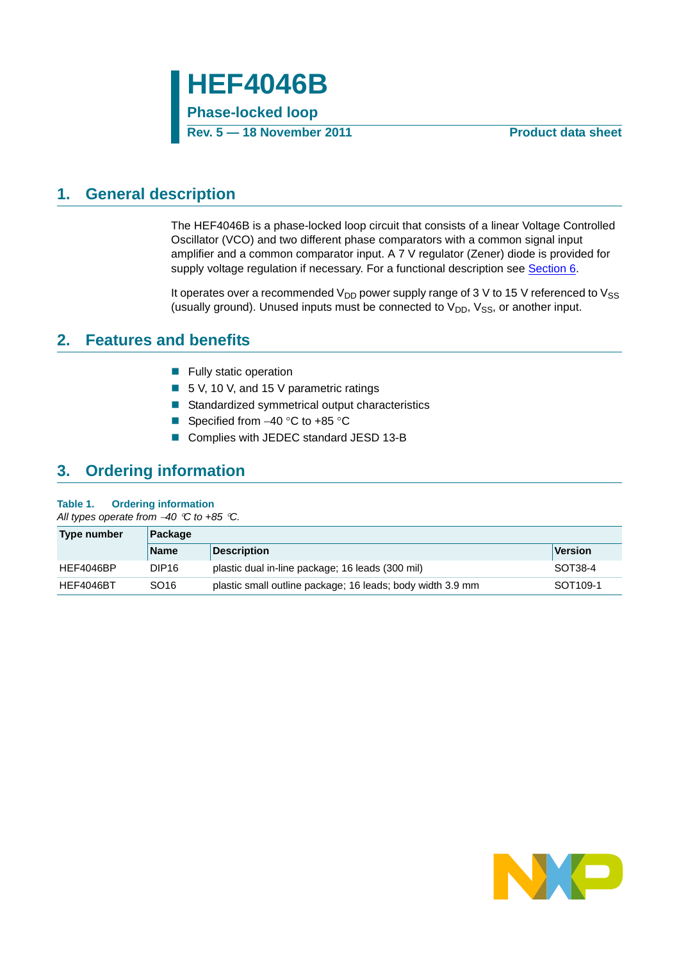## <span id="page-0-0"></span>**1. General description**

The HEF4046B is a phase-locked loop circuit that consists of a linear Voltage Controlled Oscillator (VCO) and two different phase comparators with a common signal input amplifier and a common comparator input. A 7 V regulator (Zener) diode is provided for supply voltage regulation if necessary. For a functional description see [Section 6.](#page-2-0)

It operates over a recommended  $V_{DD}$  power supply range of 3 V to 15 V referenced to  $V_{SS}$ (usually ground). Unused inputs must be connected to  $V_{DD}$ ,  $V_{SS}$ , or another input.

## <span id="page-0-1"></span>**2. Features and benefits**

- **Fully static operation**
- 5 V, 10 V, and 15 V parametric ratings
- Standardized symmetrical output characteristics
- Specified from  $-40$  °C to  $+85$  °C
- Complies with JEDEC standard JESD 13-B

# <span id="page-0-2"></span>**3. Ordering information**

### **Table 1. Ordering information**

*All types operate from 40 C to +85 C.*

| Type number | Package           |                                                            |                      |  |  |  |
|-------------|-------------------|------------------------------------------------------------|----------------------|--|--|--|
|             | <b>Name</b>       | <b>Description</b>                                         | Version              |  |  |  |
| HEF4046BP   | DIP <sub>16</sub> | plastic dual in-line package; 16 leads (300 mil)           | SOT38-4              |  |  |  |
| HEF4046BT   | SO16              | plastic small outline package; 16 leads; body width 3.9 mm | SOT <sub>109-1</sub> |  |  |  |

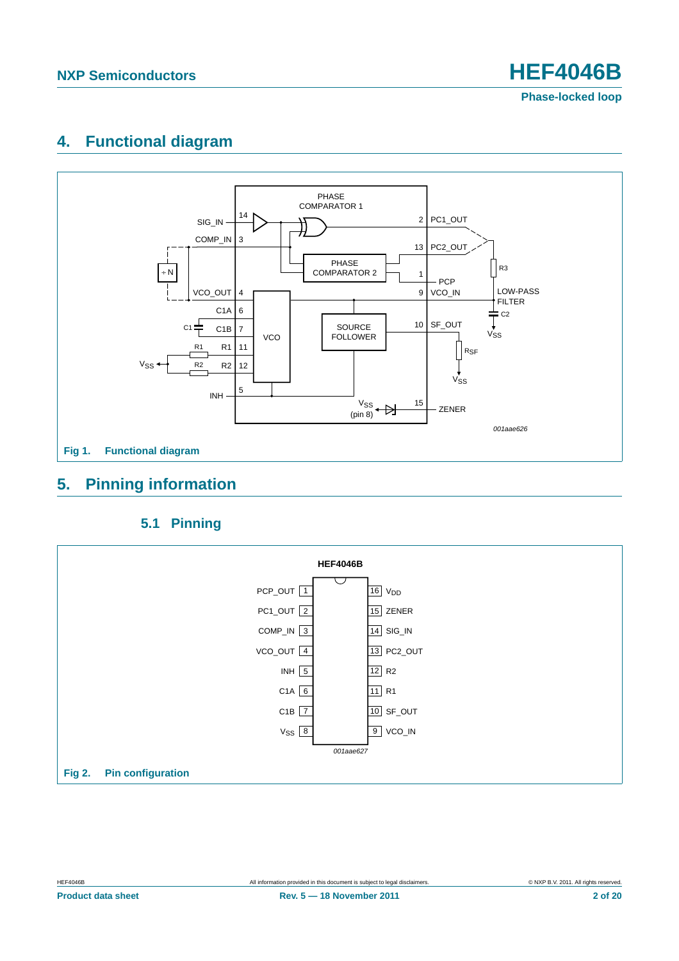**Phase-locked loop**

# <span id="page-1-0"></span>**4. Functional diagram**



# <span id="page-1-1"></span>**5. Pinning information**

### **5.1 Pinning**

<span id="page-1-2"></span>

**Product data sheet Rev. 5 — 18 November 2011 2 of 20**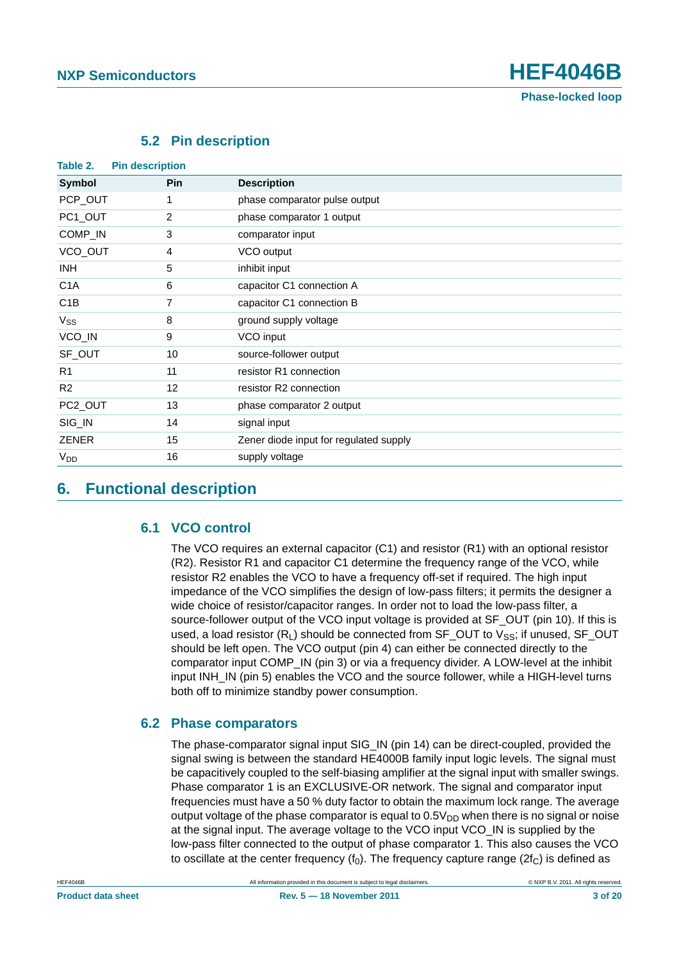

<span id="page-2-1"></span>

| <b>Pin description</b><br>Table 2. |            |                                        |
|------------------------------------|------------|----------------------------------------|
| <b>Symbol</b>                      | <b>Pin</b> | <b>Description</b>                     |
| PCP_OUT                            | 1          | phase comparator pulse output          |
| PC1_OUT                            | 2          | phase comparator 1 output              |
| COMP_IN                            | 3          | comparator input                       |
| VCO_OUT                            | 4          | VCO output                             |
| INH.                               | 5          | inhibit input                          |
| C <sub>1</sub> A                   | 6          | capacitor C1 connection A              |
| C <sub>1</sub> B                   | 7          | capacitor C1 connection B              |
| $V_{SS}$                           | 8          | ground supply voltage                  |
| VCO_IN                             | 9          | VCO input                              |
| SF_OUT                             | 10         | source-follower output                 |
| R <sub>1</sub>                     | 11         | resistor R1 connection                 |
| R <sub>2</sub>                     | 12         | resistor R2 connection                 |
| PC2_OUT                            | 13         | phase comparator 2 output              |
| SIG_IN                             | 14         | signal input                           |
| <b>ZENER</b>                       | 15         | Zener diode input for regulated supply |
| $V_{DD}$                           | 16         | supply voltage                         |

### **5.2 Pin description**

### <span id="page-2-2"></span><span id="page-2-0"></span>**6. Functional description**

### **6.1 VCO control**

The VCO requires an external capacitor (C1) and resistor (R1) with an optional resistor (R2). Resistor R1 and capacitor C1 determine the frequency range of the VCO, while resistor R2 enables the VCO to have a frequency off-set if required. The high input impedance of the VCO simplifies the design of low-pass filters; it permits the designer a wide choice of resistor/capacitor ranges. In order not to load the low-pass filter, a source-follower output of the VCO input voltage is provided at SF\_OUT (pin 10). If this is used, a load resistor  $(R_1)$  should be connected from SF\_OUT to  $V_{SS}$ ; if unused, SF\_OUT should be left open. The VCO output (pin 4) can either be connected directly to the comparator input COMP IN (pin 3) or via a frequency divider. A LOW-level at the inhibit input INH\_IN (pin 5) enables the VCO and the source follower, while a HIGH-level turns both off to minimize standby power consumption.

### <span id="page-2-3"></span>**6.2 Phase comparators**

The phase-comparator signal input SIG\_IN (pin 14) can be direct-coupled, provided the signal swing is between the standard HE4000B family input logic levels. The signal must be capacitively coupled to the self-biasing amplifier at the signal input with smaller swings. Phase comparator 1 is an EXCLUSIVE-OR network. The signal and comparator input frequencies must have a 50 % duty factor to obtain the maximum lock range. The average output voltage of the phase comparator is equal to  $0.5V<sub>DD</sub>$  when there is no signal or noise at the signal input. The average voltage to the VCO input VCO\_IN is supplied by the low-pass filter connected to the output of phase comparator 1. This also causes the VCO to oscillate at the center frequency ( $f_0$ ). The frequency capture range ( $2f_c$ ) is defined as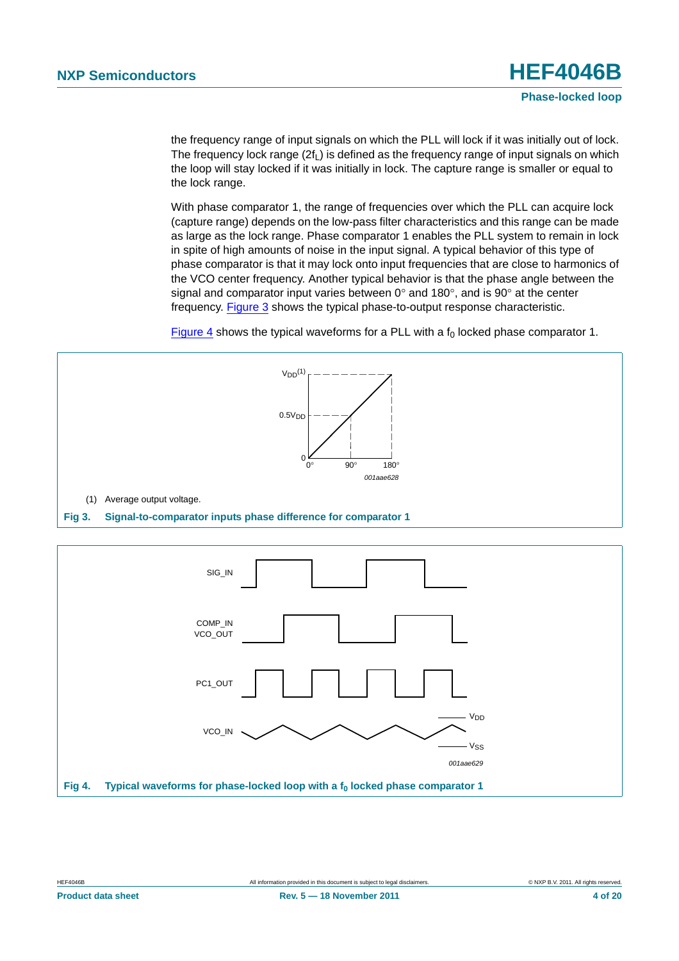the frequency range of input signals on which the PLL will lock if it was initially out of lock. The frequency lock range  $(2f<sub>l</sub>)$  is defined as the frequency range of input signals on which the loop will stay locked if it was initially in lock. The capture range is smaller or equal to the lock range.

With phase comparator 1, the range of frequencies over which the PLL can acquire lock (capture range) depends on the low-pass filter characteristics and this range can be made as large as the lock range. Phase comparator 1 enables the PLL system to remain in lock in spite of high amounts of noise in the input signal. A typical behavior of this type of phase comparator is that it may lock onto input frequencies that are close to harmonics of the VCO center frequency. Another typical behavior is that the phase angle between the signal and comparator input varies between  $0^{\circ}$  and 180 $^{\circ}$ , and is 90 $^{\circ}$  at the center frequency. [Figure 3](#page-3-0) shows the typical phase-to-output response characteristic.

[Figure 4](#page-3-1) shows the typical waveforms for a PLL with a  $f_0$  locked phase comparator 1.

<span id="page-3-1"></span><span id="page-3-0"></span>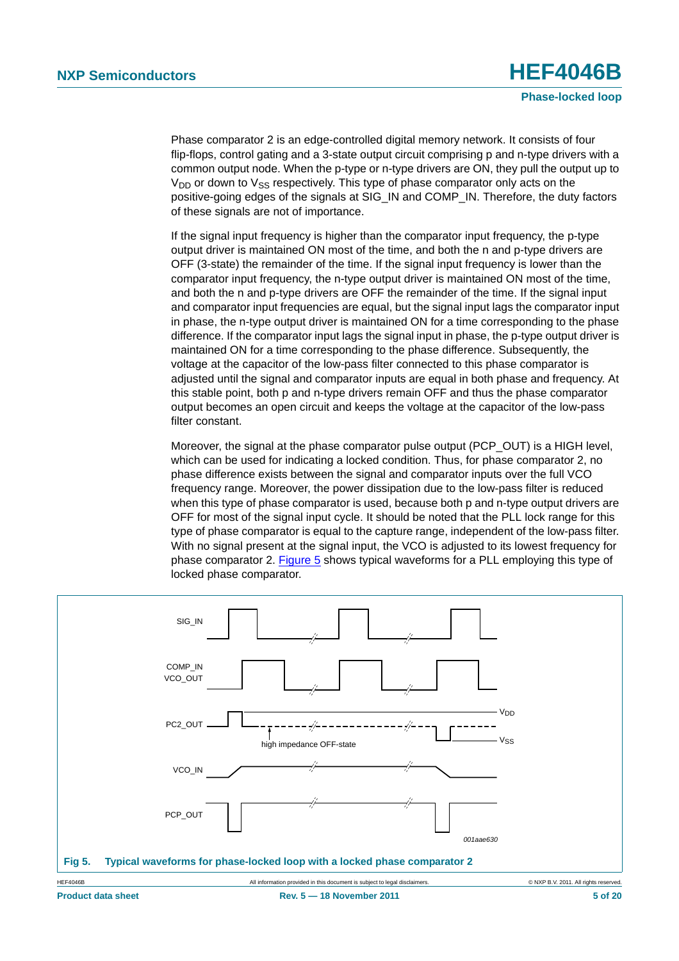Phase comparator 2 is an edge-controlled digital memory network. It consists of four flip-flops, control gating and a 3-state output circuit comprising p and n-type drivers with a common output node. When the p-type or n-type drivers are ON, they pull the output up to  $V_{DD}$  or down to  $V_{SS}$  respectively. This type of phase comparator only acts on the positive-going edges of the signals at SIG\_IN and COMP\_IN. Therefore, the duty factors of these signals are not of importance.

If the signal input frequency is higher than the comparator input frequency, the p-type output driver is maintained ON most of the time, and both the n and p-type drivers are OFF (3-state) the remainder of the time. If the signal input frequency is lower than the comparator input frequency, the n-type output driver is maintained ON most of the time, and both the n and p-type drivers are OFF the remainder of the time. If the signal input and comparator input frequencies are equal, but the signal input lags the comparator input in phase, the n-type output driver is maintained ON for a time corresponding to the phase difference. If the comparator input lags the signal input in phase, the p-type output driver is maintained ON for a time corresponding to the phase difference. Subsequently, the voltage at the capacitor of the low-pass filter connected to this phase comparator is adjusted until the signal and comparator inputs are equal in both phase and frequency. At this stable point, both p and n-type drivers remain OFF and thus the phase comparator output becomes an open circuit and keeps the voltage at the capacitor of the low-pass filter constant.

Moreover, the signal at the phase comparator pulse output (PCP\_OUT) is a HIGH level, which can be used for indicating a locked condition. Thus, for phase comparator 2, no phase difference exists between the signal and comparator inputs over the full VCO frequency range. Moreover, the power dissipation due to the low-pass filter is reduced when this type of phase comparator is used, because both p and n-type output drivers are OFF for most of the signal input cycle. It should be noted that the PLL lock range for this type of phase comparator is equal to the capture range, independent of the low-pass filter. With no signal present at the signal input, the VCO is adjusted to its lowest frequency for phase comparator 2. [Figure 5](#page-4-0) shows typical waveforms for a PLL employing this type of locked phase comparator.

<span id="page-4-0"></span>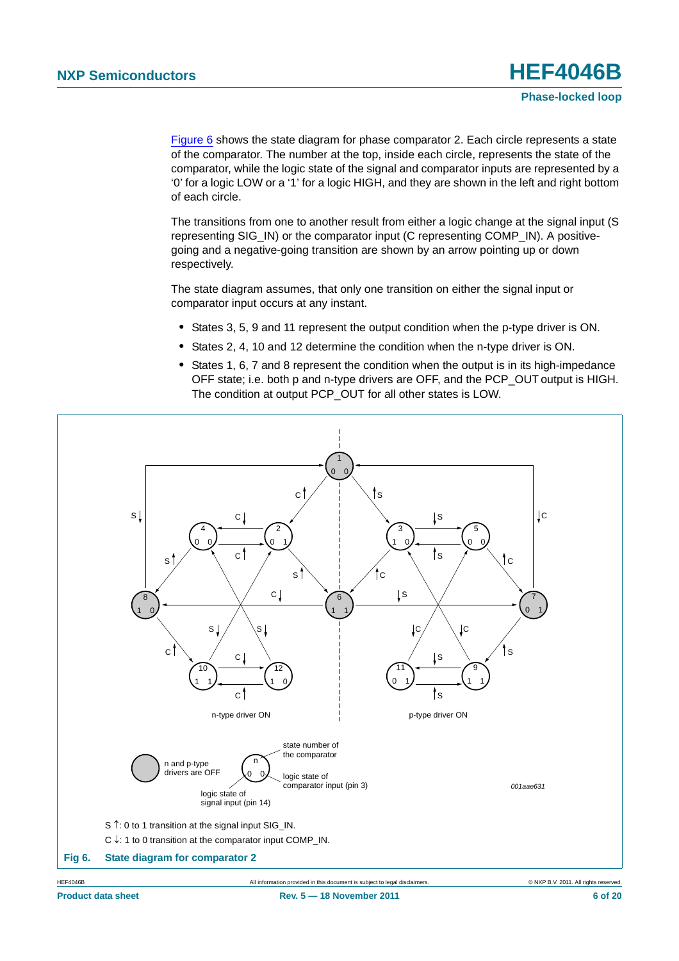[Figure 6](#page-5-0) shows the state diagram for phase comparator 2. Each circle represents a state of the comparator. The number at the top, inside each circle, represents the state of the comparator, while the logic state of the signal and comparator inputs are represented by a '0' for a logic LOW or a '1' for a logic HIGH, and they are shown in the left and right bottom of each circle.

The transitions from one to another result from either a logic change at the signal input (S representing SIG\_IN) or the comparator input (C representing COMP\_IN). A positivegoing and a negative-going transition are shown by an arrow pointing up or down respectively.

The state diagram assumes, that only one transition on either the signal input or comparator input occurs at any instant.

- **•** States 3, 5, 9 and 11 represent the output condition when the p-type driver is ON.
- **•** States 2, 4, 10 and 12 determine the condition when the n-type driver is ON.
- **•** States 1, 6, 7 and 8 represent the condition when the output is in its high-impedance OFF state; i.e. both p and n-type drivers are OFF, and the PCP\_OUT output is HIGH. The condition at output PCP OUT for all other states is LOW.

<span id="page-5-0"></span>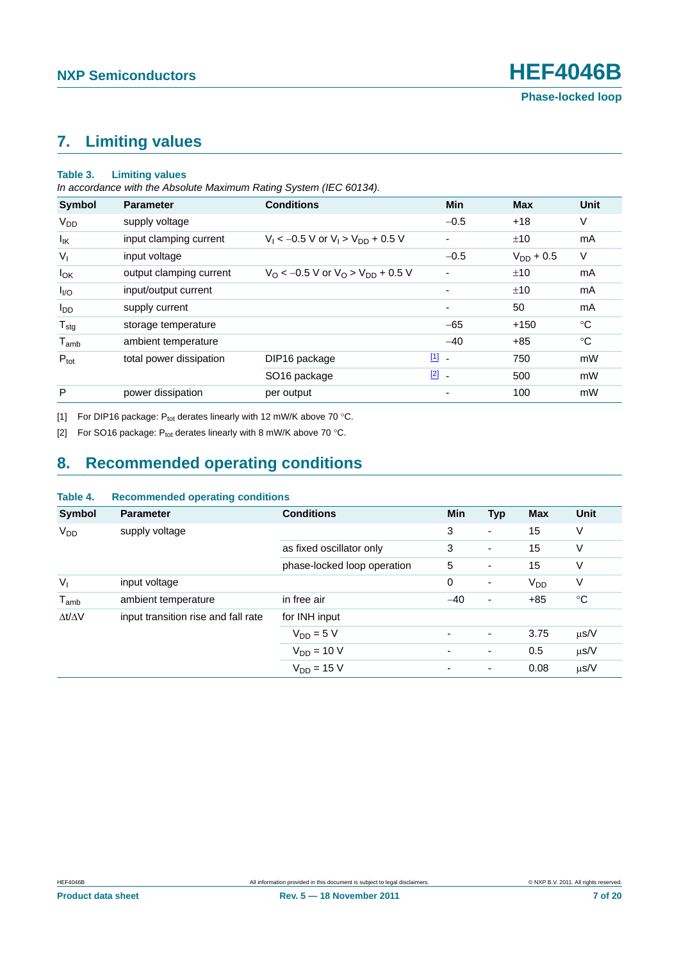# <span id="page-6-2"></span>**7. Limiting values**

#### **Table 3. Limiting values**

*In accordance with the Absolute Maximum Rating System (IEC 60134).*

| <b>Symbol</b>                | <b>Parameter</b>        | <b>Conditions</b>                                          | <b>Min</b>               | <b>Max</b>     | Unit        |
|------------------------------|-------------------------|------------------------------------------------------------|--------------------------|----------------|-------------|
| <b>V<sub>DD</sub></b>        | supply voltage          |                                                            | $-0.5$                   | $+18$          | V           |
| lικ                          | input clamping current  | $V_1 < -0.5$ V or $V_1 > V_{DD} + 0.5$ V                   |                          | ±10            | mA          |
| $V_{I}$                      | input voltage           |                                                            | $-0.5$                   | $V_{DD} + 0.5$ | $\vee$      |
| $I_{OK}$                     | output clamping current | $V_{\rm O}$ < -0.5 V or $V_{\rm O}$ > $V_{\rm DD}$ + 0.5 V | $\overline{\phantom{0}}$ | ±10            | mA          |
| $I_{\text{IO}}$              | input/output current    |                                                            | $\overline{\phantom{0}}$ | ±10            | mA          |
| <b>I</b> <sub>DD</sub>       | supply current          |                                                            | $\blacksquare$           | 50             | mA          |
| ${\mathsf T}_{\textsf{stg}}$ | storage temperature     |                                                            | $-65$                    | $+150$         | $^{\circ}C$ |
| $T_{amb}$                    | ambient temperature     |                                                            | $-40$                    | $+85$          | $^{\circ}C$ |
| $P_{\text{tot}}$             | total power dissipation | DIP16 package                                              | $\boxed{1}$ -            | 750            | mW          |
|                              |                         | SO <sub>16</sub> package                                   | $\boxed{2}$ -            | 500            | mW          |
| P                            | power dissipation       | per output                                                 | ٠                        | 100            | mW          |

<span id="page-6-0"></span>[1] For DIP16 package:  $P_{tot}$  derates linearly with 12 mW/K above 70 °C.

<span id="page-6-1"></span>[2] For SO16 package:  $P_{tot}$  derates linearly with 8 mW/K above 70 °C.

# <span id="page-6-3"></span>**8. Recommended operating conditions**

| rapie 4.              | Recommended operating conditions    |                             |                          |            |                 |                 |
|-----------------------|-------------------------------------|-----------------------------|--------------------------|------------|-----------------|-----------------|
| Symbol                | <b>Parameter</b>                    | <b>Conditions</b>           | <b>Min</b>               | <b>Typ</b> | <b>Max</b>      | <b>Unit</b>     |
| <b>V<sub>DD</sub></b> | supply voltage                      |                             | 3                        | ۰          | 15              | V               |
|                       |                                     | as fixed oscillator only    | 3                        | ۰          | 15              | V               |
|                       |                                     | phase-locked loop operation | 5                        | ٠          | 15              | V               |
| $V_{1}$               | input voltage                       |                             | $\mathbf 0$              | -          | V <sub>DD</sub> | V               |
| $T_{amb}$             | ambient temperature                 | in free air                 | $-40$                    | ٠          | $+85$           | $\rm ^{\circ}C$ |
| $\Delta t/\Delta V$   | input transition rise and fall rate | for INH input               |                          |            |                 |                 |
|                       |                                     | $V_{DD} = 5 V$              | $\overline{\phantom{0}}$ | -          | 3.75            | $\mu$ s/V       |
|                       |                                     | $V_{DD} = 10 V$             |                          | -          | 0.5             | $\mu$ s/V       |
|                       |                                     | $V_{DD} = 15 V$             |                          | ۰          | 0.08            | $\mu$ s/V       |

### **Table 4. Recommended operating conditions**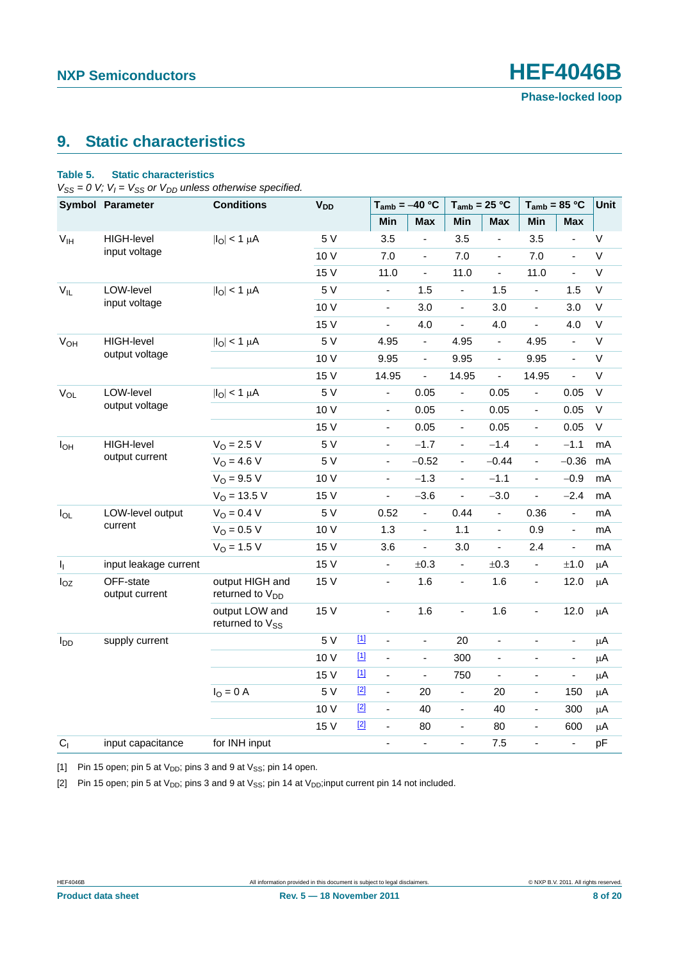# <span id="page-7-3"></span>**9. Static characteristics**

### <span id="page-7-2"></span>**Table 5. Static characteristics**

 $V_{SS} = 0$  V;  $V_I = V_{SS}$  or  $V_{DD}$  unless otherwise specified.

|                            | <b>Symbol Parameter</b>     | <b>Conditions</b>                             | <b>V<sub>DD</sub></b> |                   | $T_{amb} = -40 °C$       |                              | $T_{amb}$ = 25 °C        |                | $T_{amb} = 85 °C$            |                          | Unit         |
|----------------------------|-----------------------------|-----------------------------------------------|-----------------------|-------------------|--------------------------|------------------------------|--------------------------|----------------|------------------------------|--------------------------|--------------|
|                            |                             |                                               |                       |                   | Min                      | <b>Max</b>                   | Min                      | <b>Max</b>     | Min                          | <b>Max</b>               |              |
| V <sub>IH</sub>            | <b>HIGH-level</b>           | $ I_O  < 1 \mu A$                             | 5 V                   |                   | 3.5                      | $\blacksquare$               | 3.5                      | ÷,             | 3.5                          | $\blacksquare$           | $\vee$       |
|                            | input voltage               |                                               | 10 V                  |                   | 7.0                      | ÷,                           | 7.0                      | $\blacksquare$ | 7.0                          | $\overline{a}$           | $\sf V$      |
|                            |                             |                                               | 15 V                  |                   | 11.0                     | $\blacksquare$               | 11.0                     | $\blacksquare$ | 11.0                         | $\blacksquare$           | $\mathsf V$  |
| $V_{IL}$                   | LOW-level                   | $ I_O  < 1 \mu A$                             | 5 V                   |                   | $\blacksquare$           | 1.5                          | $\blacksquare$           | 1.5            | ÷.                           | 1.5                      | $\mathsf V$  |
|                            | input voltage               |                                               | 10 V                  |                   | $\blacksquare$           | 3.0                          | L                        | 3.0            | $\overline{\phantom{a}}$     | 3.0                      | $\vee$       |
|                            |                             |                                               | 15 V                  |                   | $\overline{\phantom{a}}$ | 4.0                          | ÷,                       | 4.0            | ÷,                           | 4.0                      | $\mathsf V$  |
| <b>V<sub>OH</sub></b>      | <b>HIGH-level</b>           | $ I_{\rm O}  < 1 \mu A$                       | 5 V                   |                   | 4.95                     | $\blacksquare$               | 4.95                     | $\blacksquare$ | 4.95                         | $\blacksquare$           | $\mathsf V$  |
|                            | output voltage              |                                               | 10 V                  |                   | 9.95                     | $\blacksquare$               | 9.95                     | $\blacksquare$ | 9.95                         | $\blacksquare$           | $\sf V$      |
|                            |                             |                                               | 15 V                  |                   | 14.95                    | $\overline{\phantom{0}}$     | 14.95                    | $\blacksquare$ | 14.95                        | $\overline{\phantom{a}}$ | $\mathsf V$  |
| $\mathsf{V}_{\mathsf{OL}}$ | LOW-level                   | $ I_O  < 1 \mu A$                             | 5 V                   |                   | $\blacksquare$           | 0.05                         | $\blacksquare$           | 0.05           | $\qquad \qquad \blacksquare$ | 0.05                     | $\mathsf V$  |
|                            | output voltage              |                                               | 10 V                  |                   | $\Box$                   | 0.05                         | $\frac{1}{2}$            | 0.05           | ÷.                           | 0.05                     | $\mathsf V$  |
|                            |                             |                                               | 15 V                  |                   | $\overline{\phantom{a}}$ | 0.05                         | $\blacksquare$           | 0.05           | $\frac{1}{2}$                | 0.05                     | $\mathsf{V}$ |
| $I_{OH}$                   | <b>HIGH-level</b>           | $V_0 = 2.5 V$                                 | 5 V                   |                   | $\overline{\phantom{a}}$ | $-1.7$                       | $\overline{\phantom{0}}$ | $-1.4$         | ÷                            | $-1.1$                   | mA           |
|                            | output current              | $V_O = 4.6 V$                                 | 5 V                   |                   | $\Box$                   | $-0.52$                      | $\overline{\phantom{a}}$ | $-0.44$        | ä,                           | $-0.36$                  | mA           |
|                            |                             | $V_O = 9.5 V$                                 | 10 V                  |                   | $\blacksquare$           | $-1.3$                       | $\overline{a}$           | $-1.1$         | ä,                           | $-0.9$                   | mA           |
|                            |                             | $V_O = 13.5 V$                                | 15 V                  |                   | $\blacksquare$           | $-3.6$                       | ÷,                       | $-3.0$         | ÷,                           | $-2.4$                   | mA           |
| $I_{OL}$                   | LOW-level output            | $V_O = 0.4 V$                                 | 5 V                   |                   | 0.52                     | $\blacksquare$               | 0.44                     | $\blacksquare$ | 0.36                         | $\blacksquare$           | mA           |
|                            | current                     | $V_O = 0.5 V$                                 | 10 V                  |                   | 1.3                      | $\qquad \qquad \blacksquare$ | 1.1                      | $\blacksquare$ | 0.9                          | $\blacksquare$           | mA           |
|                            |                             | $V_{O} = 1.5 V$                               | 15 V                  |                   | 3.6                      | $\blacksquare$               | 3.0                      | $\blacksquare$ | 2.4                          | $\blacksquare$           | mA           |
| $I_{\parallel}$            | input leakage current       |                                               | 15 V                  |                   | $\blacksquare$           | ±0.3                         | $\blacksquare$           | ±0.3           | ÷.                           | $\pm 1.0$                | μA           |
| $I_{OZ}$                   | OFF-state<br>output current | output HIGH and<br>returned to $V_{DD}$       | 15 V                  |                   | $\blacksquare$           | 1.6                          | $\blacksquare$           | 1.6            | $\blacksquare$               | 12.0                     | $\mu$ A      |
|                            |                             | output LOW and<br>returned to V <sub>SS</sub> | 15 V                  |                   | $\blacksquare$           | 1.6                          | ÷,                       | 1.6            | $\blacksquare$               | 12.0                     | $\mu$ A      |
| $I_{DD}$                   | supply current              |                                               | 5 V                   | $\underline{[1]}$ | $\overline{\phantom{a}}$ | $\qquad \qquad \blacksquare$ | 20                       | $\blacksquare$ | $\blacksquare$               | $\overline{\phantom{a}}$ | μA           |
|                            |                             |                                               | 10 V                  | $\underline{[1]}$ | $\Box$                   | $\blacksquare$               | 300                      | $\blacksquare$ | $\blacksquare$               | $\blacksquare$           | μA           |
|                            |                             |                                               | 15 V                  | $[1]$             | $\blacksquare$           | $\blacksquare$               | 750                      | $\blacksquare$ | $\blacksquare$               | $\blacksquare$           | μA           |
|                            |                             | $IO = 0$ A                                    | 5 V                   | $[2]$             | $\blacksquare$           | 20                           | $\blacksquare$           | 20             | $\overline{a}$               | 150                      | μA           |
|                            |                             |                                               | 10 V                  | $[2]$             | $\Box$                   | 40                           | $\blacksquare$           | 40             | $\frac{1}{2}$                | 300                      | μA           |
|                            |                             |                                               | 15 V                  | $[2]$             | $\blacksquare$           | 80                           | $\blacksquare$           | 80             | $\frac{1}{2}$                | 600                      | μA           |
| C <sub>1</sub>             | input capacitance           | for INH input                                 |                       |                   | $\blacksquare$           | $\blacksquare$               | $\overline{a}$           | 7.5            | ÷,                           | $\frac{1}{2}$            | pF           |

<span id="page-7-0"></span>[1] Pin 15 open; pin 5 at  $V_{DD}$ ; pins 3 and 9 at  $V_{SS}$ ; pin 14 open.

<span id="page-7-1"></span>[2] Pin 15 open; pin 5 at  $V_{DD}$ ; pins 3 and 9 at  $V_{SS}$ ; pin 14 at  $V_{DD}$ ; input current pin 14 not included.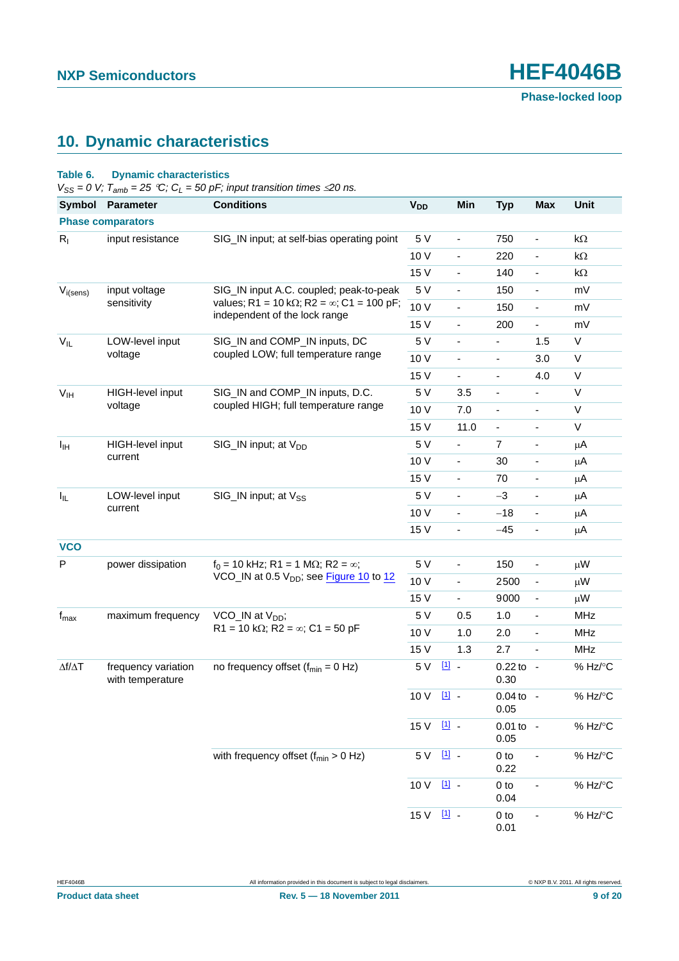# <span id="page-8-0"></span>**10. Dynamic characteristics**

### <span id="page-8-1"></span>**Table 6. Dynamic characteristics**

 $V_{SS} = 0$  V;  $T_{amb} = 25$  °C;  $C_L = 50$  pF; input transition times  $\leq$  20 ns.

| <b>Symbol</b>               | Parameter                               | <b>Conditions</b>                                                                          | <b>V<sub>DD</sub></b> | Min                      | <b>Typ</b>                   | <b>Max</b>               | Unit       |
|-----------------------------|-----------------------------------------|--------------------------------------------------------------------------------------------|-----------------------|--------------------------|------------------------------|--------------------------|------------|
|                             | <b>Phase comparators</b>                |                                                                                            |                       |                          |                              |                          |            |
| $R_{I}$                     | input resistance                        | SIG_IN input; at self-bias operating point                                                 | 5 V                   | $\overline{\phantom{a}}$ | 750                          | $\overline{\phantom{a}}$ | kΩ         |
|                             |                                         |                                                                                            | 10 V                  | $\overline{\phantom{0}}$ | 220                          | $\blacksquare$           | $k\Omega$  |
|                             |                                         |                                                                                            | 15 V                  | $\overline{\phantom{a}}$ | 140                          | $\blacksquare$           | kΩ         |
| $V_{i(sens)}$               | input voltage                           | SIG_IN input A.C. coupled; peak-to-peak                                                    | 5 V                   | $\overline{\phantom{0}}$ | 150                          | $\blacksquare$           | mV         |
|                             | sensitivity                             | values; R1 = 10 k $\Omega$ ; R2 = $\infty$ ; C1 = 100 pF;<br>independent of the lock range | 10 V                  | $\blacksquare$           | 150                          | $\blacksquare$           | mV         |
|                             |                                         |                                                                                            | 15 V                  | $\overline{\phantom{0}}$ | 200                          | $\blacksquare$           | mV         |
| $V_{IL}$                    | LOW-level input                         | SIG_IN and COMP_IN inputs, DC                                                              | 5 V                   | ÷,                       | $\frac{1}{2}$                | 1.5                      | V          |
|                             | voltage                                 | coupled LOW; full temperature range                                                        | 10 V                  | ÷,                       | $\overline{\phantom{0}}$     | 3.0                      | $\vee$     |
|                             |                                         |                                                                                            | 15 V                  | $\blacksquare$           | $\overline{\phantom{a}}$     | 4.0                      | V          |
| V <sub>IH</sub>             | HIGH-level input                        | SIG_IN and COMP_IN inputs, D.C.                                                            | 5 V                   | 3.5                      | $\qquad \qquad \blacksquare$ |                          | $\vee$     |
|                             | voltage                                 | coupled HIGH; full temperature range                                                       | 10 V                  | 7.0                      | $\overline{\phantom{a}}$     | $\overline{\phantom{a}}$ | V          |
|                             |                                         |                                                                                            | 15 V                  | 11.0                     | $\blacksquare$               | ä,                       | V          |
| Iщ                          | HIGH-level input                        | SIG_IN input; at V <sub>DD</sub>                                                           | 5 V                   | $\blacksquare$           | 7                            | $\blacksquare$           | μA         |
|                             | current                                 |                                                                                            | 10 V                  | $\overline{\phantom{0}}$ | 30                           | $\blacksquare$           | μA         |
|                             |                                         |                                                                                            | 15 V                  | $\overline{\phantom{a}}$ | 70                           | $\overline{\phantom{a}}$ | μA         |
| $I_{IL}$                    | LOW-level input                         | SIG_IN input; at V <sub>SS</sub>                                                           | 5 V                   | $\overline{\phantom{0}}$ | $-3$                         | $\overline{\phantom{a}}$ | μA         |
|                             | current                                 |                                                                                            | 10 V                  | $\overline{\phantom{a}}$ | $-18$                        | $\blacksquare$           | μA         |
|                             |                                         |                                                                                            | 15 V                  | ÷,                       | $-45$                        | $\blacksquare$           | μA         |
| <b>VCO</b>                  |                                         |                                                                                            |                       |                          |                              |                          |            |
| P<br>power dissipation      |                                         | $f_0 = 10$ kHz; R1 = 1 M $\Omega$ ; R2 = $\infty$ ;                                        | 5 V                   | $\overline{\phantom{0}}$ | 150                          | $\overline{\phantom{a}}$ | μW         |
|                             |                                         | VCO_IN at 0.5 V <sub>DD</sub> ; see Figure 10 to 12                                        | 10 V                  | $\blacksquare$           | 2500                         | $\blacksquare$           | μW         |
|                             |                                         |                                                                                            | 15 V                  | ÷,                       | 9000                         | $\blacksquare$           | μW         |
| $\mathsf{f}_{\mathsf{max}}$ | maximum frequency                       | VCO_IN at $V_{DD}$ ;                                                                       | 5 V                   | 0.5                      | 1.0                          | $\overline{\phantom{a}}$ | <b>MHz</b> |
|                             |                                         | R1 = 10 k $\Omega$ ; R2 = $\infty$ ; C1 = 50 pF                                            | 10 V                  | 1.0                      | 2.0                          | $\blacksquare$           | <b>MHz</b> |
|                             |                                         |                                                                                            | 15 V                  | 1.3                      | 2.7                          | $\blacksquare$           | <b>MHz</b> |
| $\Delta f/\Delta T$         | frequency variation<br>with temperature | no frequency offset $(f_{min} = 0 Hz)$                                                     | 5 V                   | $\boxed{11}$             | $0.22$ to -<br>0.30          |                          | % Hz/°C    |
|                             |                                         |                                                                                            | 10 V                  | $11$ .                   | $0.04$ to -<br>0.05          |                          | % Hz/°C    |
|                             |                                         |                                                                                            | 15 V [1] -            |                          | $0.01$ to -<br>0.05          |                          | % Hz/°C    |
|                             |                                         | with frequency offset $(f_{min} > 0$ Hz)                                                   | 5 V                   | $\underline{11}$ .       | $0$ to<br>0.22               | Ĭ.                       | % Hz/°C    |
|                             |                                         |                                                                                            | 10 V                  | 11                       | $0$ to<br>0.04               |                          | % Hz/°C    |
|                             |                                         |                                                                                            | 15 V [1] -            |                          | $0$ to<br>0.01               |                          | % Hz/°C    |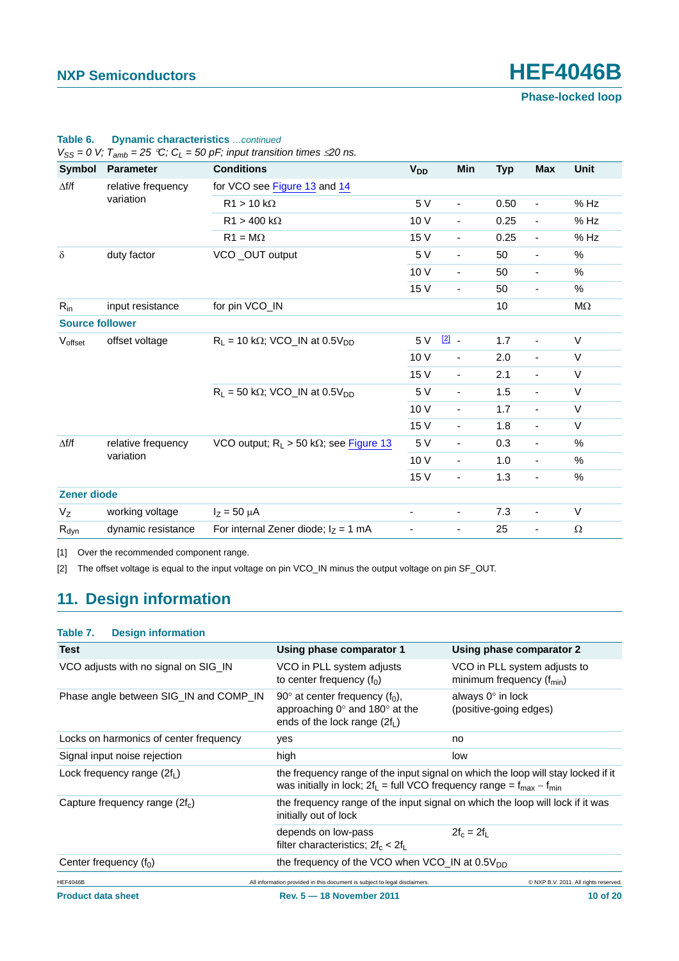**Phase-locked loop**

|                        |                    | $\frac{1}{2}$ o v, $\frac{1}{2}$ and $\frac{1}{2}$ by $\frac{1}{2}$ by $\frac{1}{2}$ , in particular and $\frac{1}{2}$ by $\frac{1}{2}$ |                          |                          |            |                          |          |
|------------------------|--------------------|-----------------------------------------------------------------------------------------------------------------------------------------|--------------------------|--------------------------|------------|--------------------------|----------|
| Symbol                 | <b>Parameter</b>   | <b>Conditions</b>                                                                                                                       | <b>V<sub>DD</sub></b>    | Min                      | <b>Typ</b> | <b>Max</b>               | Unit     |
| $\Delta f/f$           | relative frequency | for VCO see Figure 13 and 14                                                                                                            |                          |                          |            |                          |          |
|                        | variation          | $R1 > 10 k\Omega$                                                                                                                       | 5 V                      | $\overline{\phantom{a}}$ | 0.50       | $\overline{\phantom{0}}$ | % Hz     |
|                        |                    | $R1 > 400 k\Omega$                                                                                                                      | 10 V                     | $\overline{\phantom{a}}$ | 0.25       | $\blacksquare$           | % Hz     |
|                        |                    | $R1 = M\Omega$                                                                                                                          | 15 V                     | $\blacksquare$           | 0.25       | $\blacksquare$           | $%$ Hz   |
| $\delta$               | duty factor        | VCO _OUT output                                                                                                                         | 5 V                      | $\overline{\phantom{a}}$ | 50         | -                        | %        |
|                        |                    |                                                                                                                                         | 10 V                     | $\overline{\phantom{a}}$ | 50         | $\overline{\phantom{a}}$ | $\%$     |
|                        |                    |                                                                                                                                         | 15 V                     | $\overline{\phantom{a}}$ | 50         | $\blacksquare$           | $\%$     |
| $R_{in}$               | input resistance   | for pin VCO_IN                                                                                                                          |                          |                          | 10         |                          | ΜΩ       |
| <b>Source follower</b> |                    |                                                                                                                                         |                          |                          |            |                          |          |
| Voffset                | offset voltage     | $R_1 = 10 k\Omega$ ; VCO_IN at 0.5V <sub>DD</sub>                                                                                       | 5 V                      | $\boxed{2}$              | 1.7        | $\overline{\phantom{a}}$ | V        |
|                        |                    |                                                                                                                                         | 10 V                     | $\overline{\phantom{a}}$ | 2.0        | $\overline{\phantom{a}}$ | V        |
|                        |                    |                                                                                                                                         | 15 V                     | $\overline{\phantom{a}}$ | 2.1        | ÷,                       | $\vee$   |
|                        |                    | $R_1 = 50$ kΩ; VCO_IN at 0.5V <sub>DD</sub>                                                                                             | 5 V                      | $\blacksquare$           | 1.5        | $\overline{\phantom{0}}$ | V        |
|                        |                    |                                                                                                                                         | 10V                      | $\overline{\phantom{a}}$ | 1.7        | $\overline{\phantom{a}}$ | V        |
|                        |                    |                                                                                                                                         | 15 V                     | $\blacksquare$           | 1.8        | L,                       | $\vee$   |
| $\Delta f/f$           | relative frequency | VCO output; $R_L > 50$ k $\Omega$ ; see Figure 13                                                                                       | 5 V                      | $\blacksquare$           | 0.3        | $\overline{\phantom{a}}$ | %        |
|                        | variation          |                                                                                                                                         | 10 V                     | $\overline{\phantom{a}}$ | 1.0        | $\overline{\phantom{a}}$ | $\%$     |
|                        |                    |                                                                                                                                         | 15 V                     | $\overline{\phantom{a}}$ | 1.3        | $\blacksquare$           | $\%$     |
| <b>Zener diode</b>     |                    |                                                                                                                                         |                          |                          |            |                          |          |
| $V_{Z}$                | working voltage    | $I_Z = 50 \mu A$                                                                                                                        | $\blacksquare$           | $\overline{\phantom{a}}$ | 7.3        | $\overline{\phantom{a}}$ | V        |
| $R_{dyn}$              | dynamic resistance | For internal Zener diode; $I_z = 1$ mA                                                                                                  | $\overline{\phantom{0}}$ | $\blacksquare$           | 25         | $\blacksquare$           | $\Omega$ |
|                        |                    |                                                                                                                                         |                          |                          |            |                          |          |

### **Table 6. Dynamic characteristics** *…continued*

 $V_{\text{SS}} = 0$  V;  $T_{\text{amb}} = 25$  *°C; C<sub>L</sub>* = 50 pF; input transition times <20 ps.

<span id="page-9-0"></span>[1] Over the recommended component range.

<span id="page-9-1"></span>[2] The offset voltage is equal to the input voltage on pin VCO\_IN minus the output voltage on pin SF\_OUT.

# <span id="page-9-2"></span>**11. Design information**

### **Table 7. Design information**

| <b>Test</b>                            | Using phase comparator 1                                                                                                | Using phase comparator 2                                                         |
|----------------------------------------|-------------------------------------------------------------------------------------------------------------------------|----------------------------------------------------------------------------------|
| VCO adjusts with no signal on SIG IN   | VCO in PLL system adjusts<br>to center frequency $(f_0)$                                                                | VCO in PLL system adjusts to<br>minimum frequency $(f_{min})$                    |
| Phase angle between SIG_IN and COMP_IN | 90 $\degree$ at center frequency (f <sub>0</sub> ),<br>approaching 0° and 180° at the<br>ends of the lock range $(2f1)$ | always $0^\circ$ in lock<br>(positive-going edges)                               |
| Locks on harmonics of center frequency | yes                                                                                                                     | no                                                                               |
| Signal input noise rejection           | high                                                                                                                    | low                                                                              |
| Lock frequency range $(2f1)$           | was initially in lock; $2f_1 = full VCO$ frequency range = $f_{max} - f_{min}$                                          | the frequency range of the input signal on which the loop will stay locked if it |
| Capture frequency range $(2f_c)$       | initially out of lock                                                                                                   | the frequency range of the input signal on which the loop will lock if it was    |
|                                        | depends on low-pass<br>filter characteristics; $2f_c < 2f_l$                                                            | $2f_c = 2f_1$                                                                    |
| Center frequency $(f_0)$               | the frequency of the VCO when VCO IN at $0.5V_{DD}$                                                                     |                                                                                  |
| <b>HEF4046B</b>                        | All information provided in this document is subject to legal disclaimers.                                              | © NXP B.V. 2011. All rights reserved.                                            |
| <b>Product data sheet</b>              | Rev. 5 - 18 November 2011                                                                                               | 10 of 20                                                                         |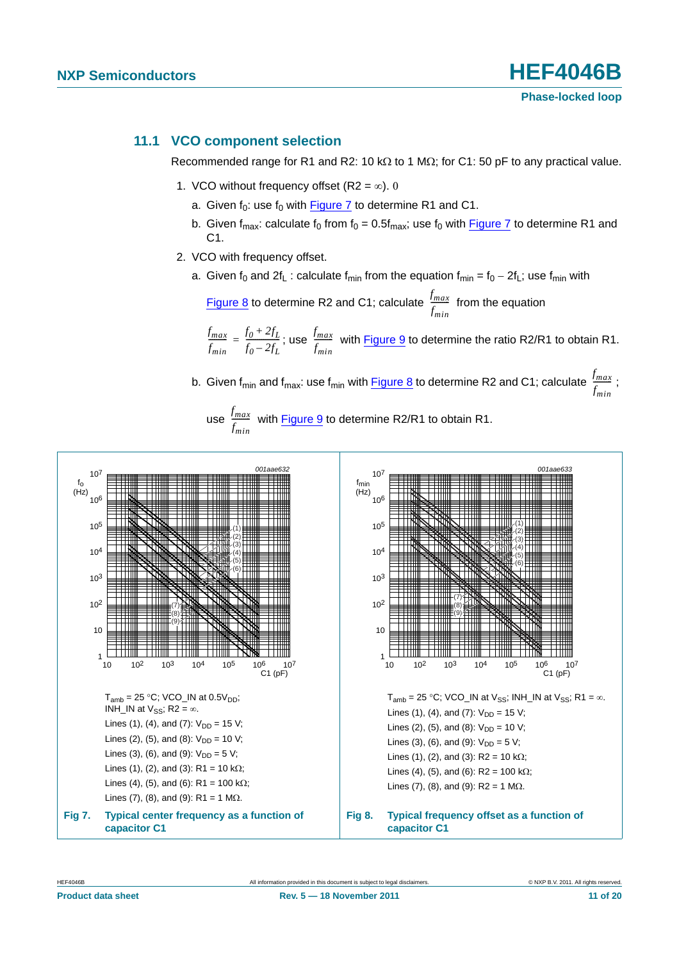### <span id="page-10-2"></span>**11.1 VCO component selection**

Recommended range for R1 and R2: 10 k $\Omega$  to 1 M $\Omega$ ; for C1: 50 pF to any practical value.

- 1. VCO without frequency offset (R2 =  $\infty$ ). 0
	- a. Given  $f_0$ : use  $f_0$  with [Figure 7](#page-10-0) to determine R1 and C1.
	- b. Given  $f_{max}$ : calculate  $f_0$  from  $f_0 = 0.5f_{max}$ ; use  $f_0$  with [Figure 7](#page-10-0) to determine R1 and C1.
- 2. VCO with frequency offset.
	- a. Given  $f_0$  and  $2f_L$  : calculate  $f_{min}$  from the equation  $f_{min} = f_0 2f_L$ ; use  $f_{min}$  with

[Figure 8](#page-10-1) to determine R2 and C1; calculate  $\frac{f_{max}}{f}$  from the equation <u>rmax</u><br>f<sub>min</sub>

 $\frac{f_{max}}{f_{max}} = \frac{f_0 + 2f_L}{f_0 - 2f}$ ; use  $\frac{f_{max}}{f}$  with [Figure 9](#page-11-2) to determine the ratio R2/R1 to obtain R1. *fmin*  $\frac{f_{max}}{f_{min}} = \frac{f_0 + 2f_L}{f_0 - 2f_L}$ ; use  $\frac{f_{max}}{f_{min}}$ 

b. Given f<sub>min</sub> and f<sub>max</sub>: use f<sub>min</sub> with <u>Figure 8</u> to determine R2 and C1; calculate  $\frac{f_{max}}{x}$  ; <u>rmax</u><br>f<sub>min</sub>

<span id="page-10-1"></span>use  $\frac{f_{max}}{f}$  with [Figure 9](#page-11-2) to determine R2/R1 to obtain R1. <u>rmax</u><br>f<sub>min</sub>

<span id="page-10-0"></span>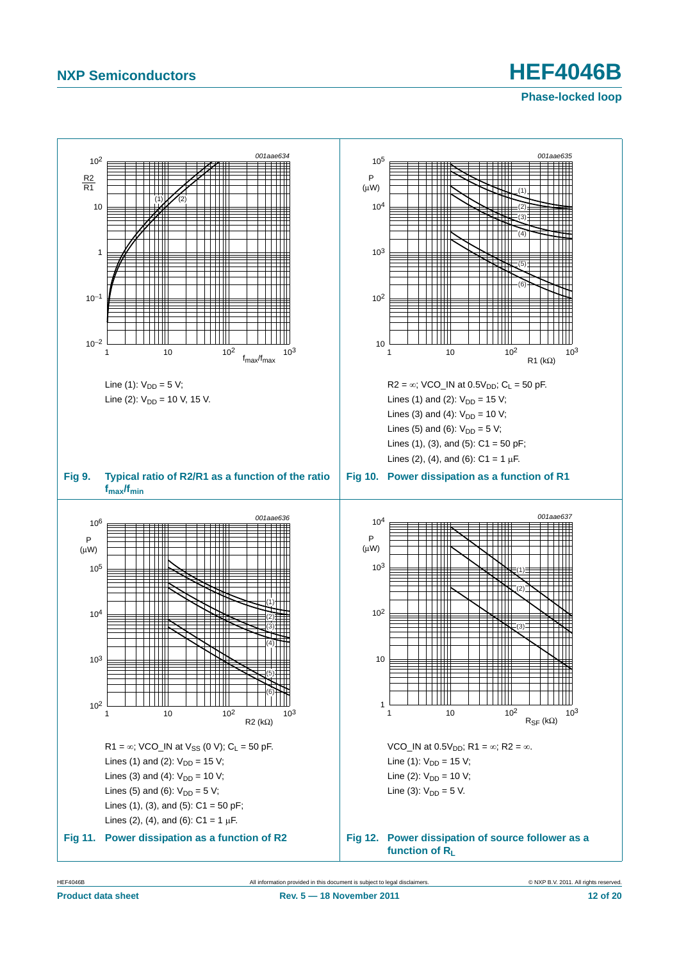<span id="page-11-0"></span>**Phase-locked loop**

<span id="page-11-2"></span>

<span id="page-11-1"></span>HEF4046B All information provided in this document is subject to legal disclaimers. © NXP B.V. 2011. All rights reserved.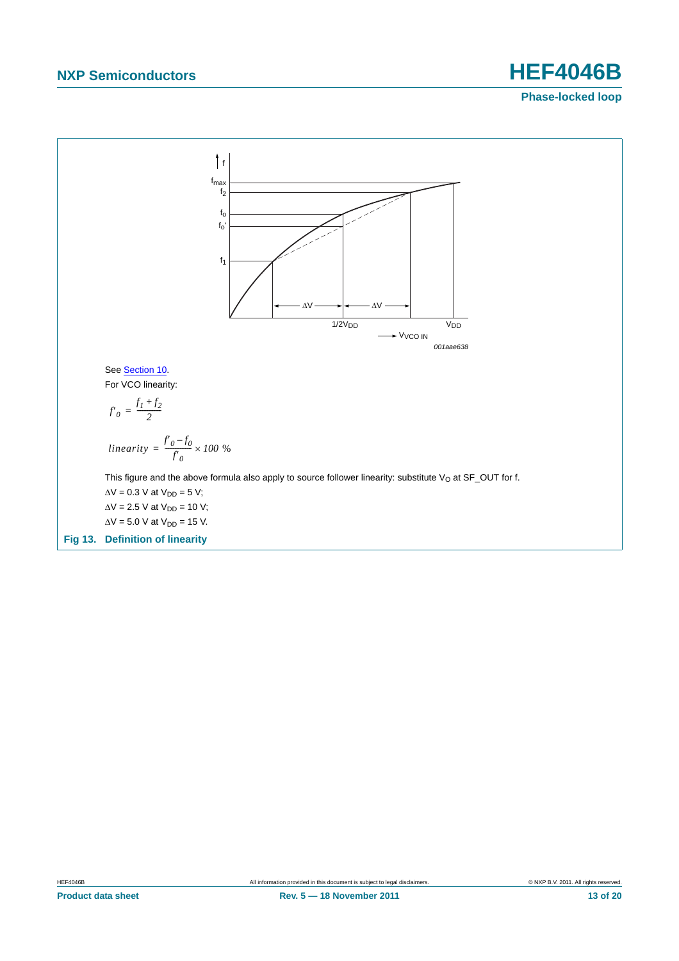**Phase-locked loop**

<span id="page-12-0"></span>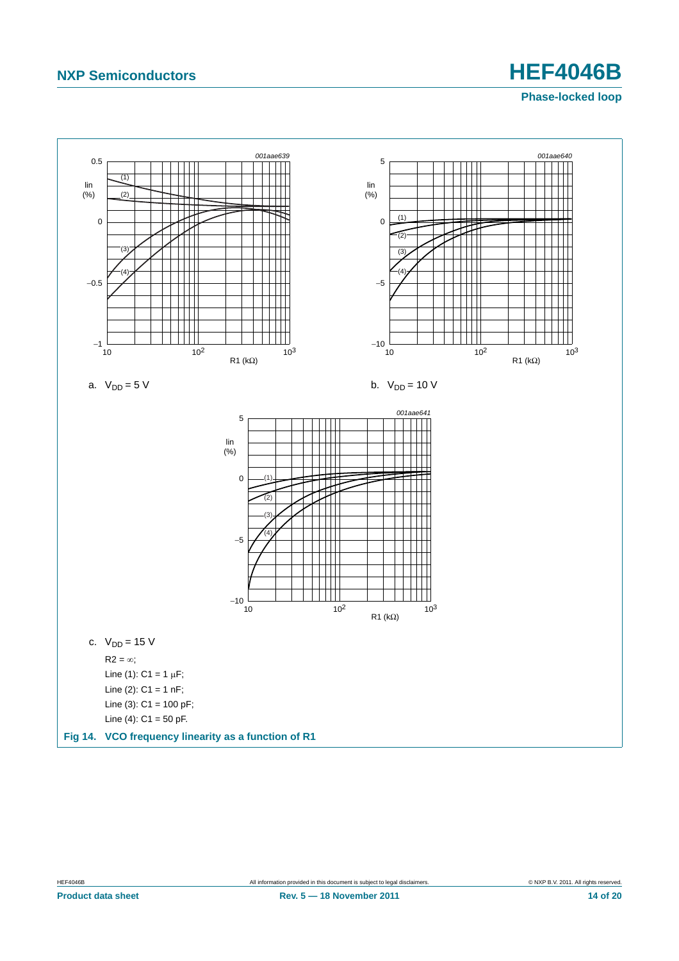### **Phase-locked loop**



<span id="page-13-0"></span>**Product data sheet Rev. 5 — 18 November 2011 14 of 20**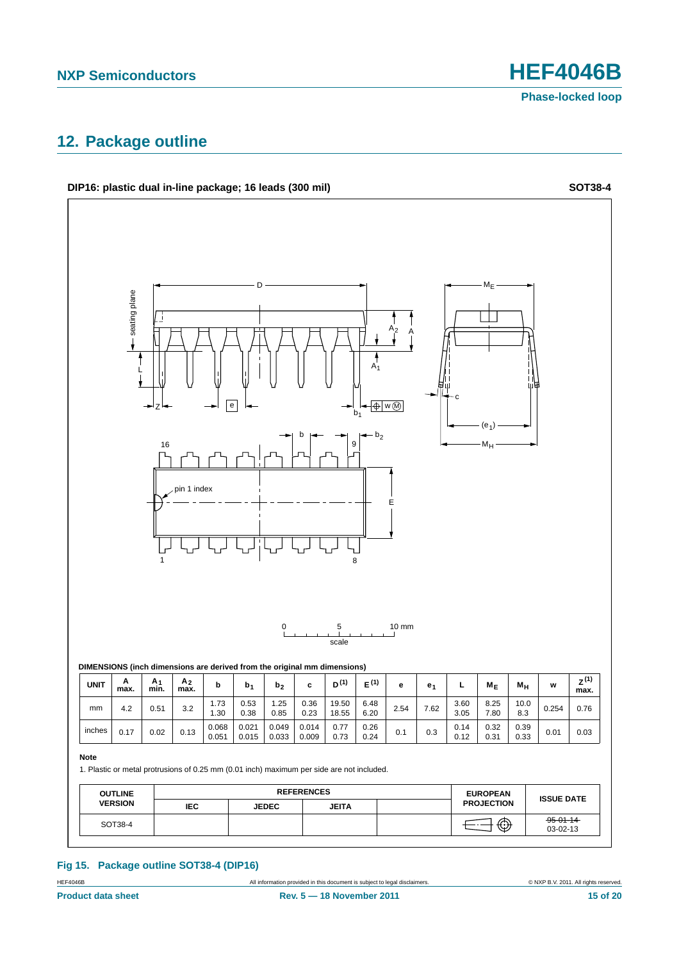## <span id="page-14-0"></span>**12. Package outline**



### **Fig 15. Package outline SOT38-4 (DIP16)**

HEF4046B All information provided in this document is subject to legal disclaimers. © NXP B.V. 2011. All rights reserved.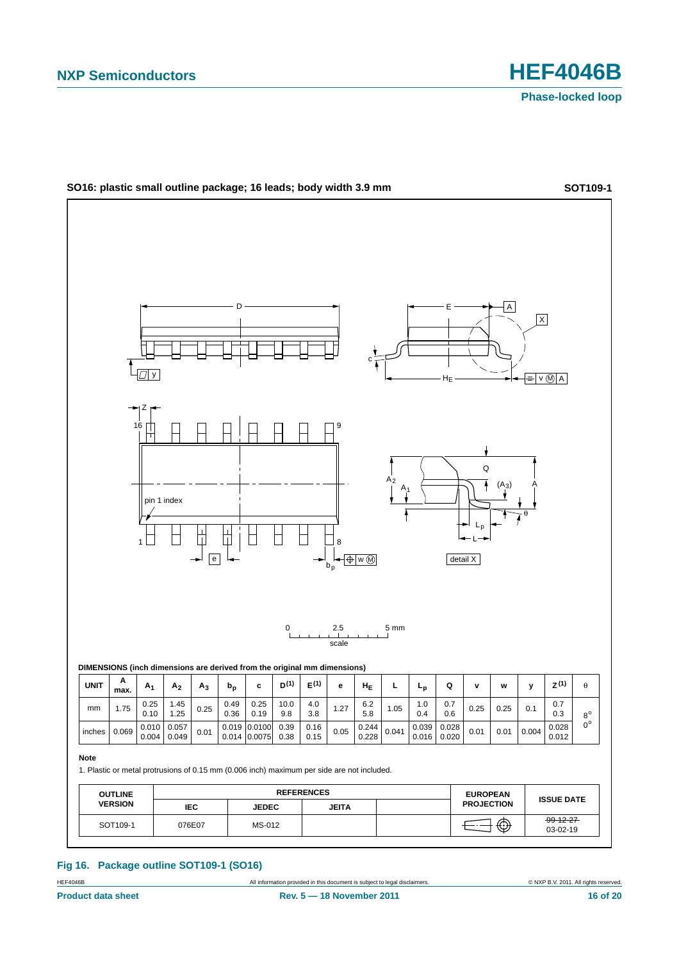

#### **Fig 16. Package outline SOT109-1 (SO16)**

All information provided in this document is subject to legal disclaimers. **Example 2014** COMP B.V. 2011. All rights reserved.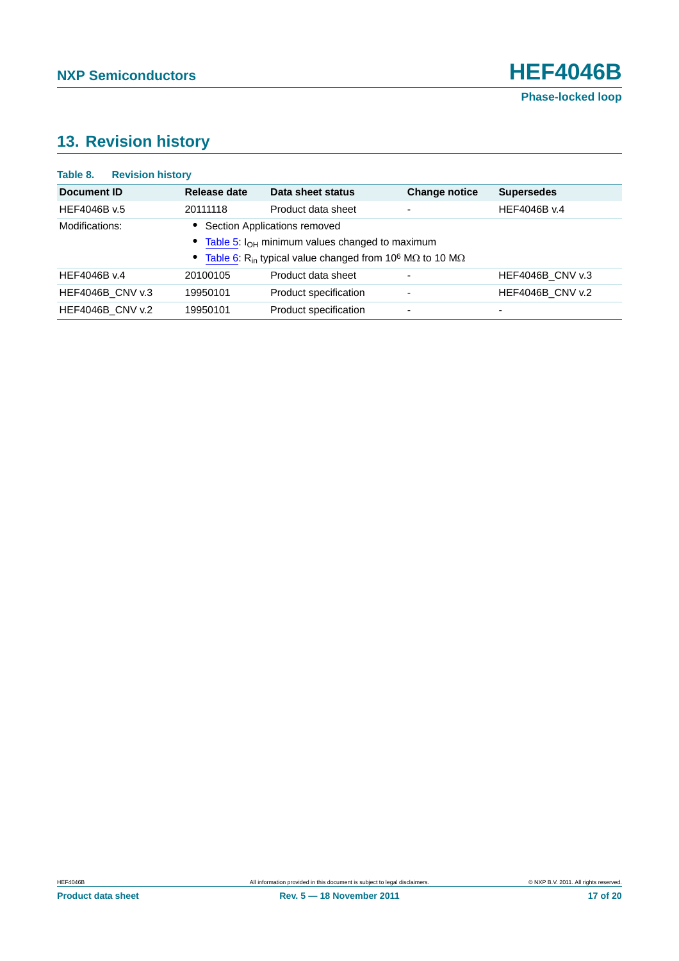# <span id="page-16-0"></span>**13. Revision history**

| <b>Revision history</b><br>Table 8. |              |                                                                                                 |                      |                         |
|-------------------------------------|--------------|-------------------------------------------------------------------------------------------------|----------------------|-------------------------|
| <b>Document ID</b>                  | Release date | Data sheet status                                                                               | <b>Change notice</b> | <b>Supersedes</b>       |
| HEF4046B v.5                        | 20111118     | Product data sheet                                                                              | -                    | HEF4046B v.4            |
| Modifications:                      |              | Section Applications removed                                                                    |                      |                         |
|                                     |              | • Table 5: I <sub>OH</sub> minimum values changed to maximum                                    |                      |                         |
|                                     | $\bullet$    | Table 6: R <sub>in</sub> typical value changed from 10 <sup>6</sup> M $\Omega$ to 10 M $\Omega$ |                      |                         |
| HEF4046B v.4                        | 20100105     | Product data sheet                                                                              | ۰                    | <b>HEF4046B CNV v.3</b> |
| <b>HEF4046B CNV v.3</b>             | 19950101     | Product specification                                                                           | ٠                    | <b>HEF4046B CNV v.2</b> |
| <b>HEF4046B CNV v.2</b>             | 19950101     | Product specification                                                                           | ٠                    | -                       |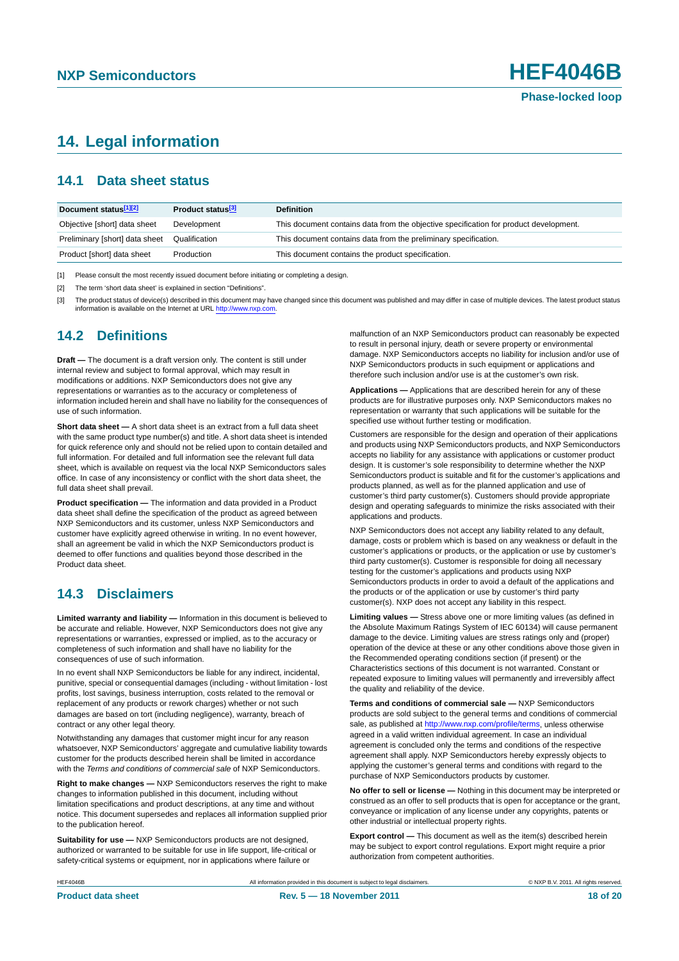# <span id="page-17-0"></span>**14. Legal information**

### <span id="page-17-1"></span>**14.1 Data sheet status**

| Document status <sup>[1][2]</sup> | Product status <sup>[3]</sup> | <b>Definition</b>                                                                     |
|-----------------------------------|-------------------------------|---------------------------------------------------------------------------------------|
| Objective [short] data sheet      | Development                   | This document contains data from the objective specification for product development. |
| Preliminary [short] data sheet    | Qualification                 | This document contains data from the preliminary specification.                       |
| Product [short] data sheet        | Production                    | This document contains the product specification.                                     |

[1] Please consult the most recently issued document before initiating or completing a design.

[2] The term 'short data sheet' is explained in section "Definitions".

[3] The product status of device(s) described in this document may have changed since this document was published and may differ in case of multiple devices. The latest product status<br>information is available on the Intern

### <span id="page-17-2"></span>**14.2 Definitions**

**Draft —** The document is a draft version only. The content is still under internal review and subject to formal approval, which may result in modifications or additions. NXP Semiconductors does not give any representations or warranties as to the accuracy or completeness of information included herein and shall have no liability for the consequences of use of such information.

**Short data sheet —** A short data sheet is an extract from a full data sheet with the same product type number(s) and title. A short data sheet is intended for quick reference only and should not be relied upon to contain detailed and full information. For detailed and full information see the relevant full data sheet, which is available on request via the local NXP Semiconductors sales office. In case of any inconsistency or conflict with the short data sheet, the full data sheet shall prevail.

**Product specification —** The information and data provided in a Product data sheet shall define the specification of the product as agreed between NXP Semiconductors and its customer, unless NXP Semiconductors and customer have explicitly agreed otherwise in writing. In no event however, shall an agreement be valid in which the NXP Semiconductors product is deemed to offer functions and qualities beyond those described in the Product data sheet.

### <span id="page-17-3"></span>**14.3 Disclaimers**

**Limited warranty and liability —** Information in this document is believed to be accurate and reliable. However, NXP Semiconductors does not give any representations or warranties, expressed or implied, as to the accuracy or completeness of such information and shall have no liability for the consequences of use of such information.

In no event shall NXP Semiconductors be liable for any indirect, incidental, punitive, special or consequential damages (including - without limitation - lost profits, lost savings, business interruption, costs related to the removal or replacement of any products or rework charges) whether or not such damages are based on tort (including negligence), warranty, breach of contract or any other legal theory.

Notwithstanding any damages that customer might incur for any reason whatsoever, NXP Semiconductors' aggregate and cumulative liability towards customer for the products described herein shall be limited in accordance with the *Terms and conditions of commercial sale* of NXP Semiconductors.

**Right to make changes —** NXP Semiconductors reserves the right to make changes to information published in this document, including without limitation specifications and product descriptions, at any time and without notice. This document supersedes and replaces all information supplied prior to the publication hereof.

**Suitability for use —** NXP Semiconductors products are not designed, authorized or warranted to be suitable for use in life support, life-critical or safety-critical systems or equipment, nor in applications where failure or

malfunction of an NXP Semiconductors product can reasonably be expected to result in personal injury, death or severe property or environmental damage. NXP Semiconductors accepts no liability for inclusion and/or use of NXP Semiconductors products in such equipment or applications and therefore such inclusion and/or use is at the customer's own risk.

**Applications —** Applications that are described herein for any of these products are for illustrative purposes only. NXP Semiconductors makes no representation or warranty that such applications will be suitable for the specified use without further testing or modification.

Customers are responsible for the design and operation of their applications and products using NXP Semiconductors products, and NXP Semiconductors accepts no liability for any assistance with applications or customer product design. It is customer's sole responsibility to determine whether the NXP Semiconductors product is suitable and fit for the customer's applications and products planned, as well as for the planned application and use of customer's third party customer(s). Customers should provide appropriate design and operating safeguards to minimize the risks associated with their applications and products.

NXP Semiconductors does not accept any liability related to any default, damage, costs or problem which is based on any weakness or default in the customer's applications or products, or the application or use by customer's third party customer(s). Customer is responsible for doing all necessary testing for the customer's applications and products using NXP Semiconductors products in order to avoid a default of the applications and the products or of the application or use by customer's third party customer(s). NXP does not accept any liability in this respect.

**Limiting values —** Stress above one or more limiting values (as defined in the Absolute Maximum Ratings System of IEC 60134) will cause permanent damage to the device. Limiting values are stress ratings only and (proper) operation of the device at these or any other conditions above those given in the Recommended operating conditions section (if present) or the Characteristics sections of this document is not warranted. Constant or repeated exposure to limiting values will permanently and irreversibly affect the quality and reliability of the device.

**Terms and conditions of commercial sale —** NXP Semiconductors products are sold subject to the general terms and conditions of commercial sale, as published at<http://www.nxp.com/profile/terms>, unless otherwise agreed in a valid written individual agreement. In case an individual agreement is concluded only the terms and conditions of the respective agreement shall apply. NXP Semiconductors hereby expressly objects to applying the customer's general terms and conditions with regard to the purchase of NXP Semiconductors products by customer.

**No offer to sell or license —** Nothing in this document may be interpreted or construed as an offer to sell products that is open for acceptance or the grant, conveyance or implication of any license under any copyrights, patents or other industrial or intellectual property rights.

**Export control —** This document as well as the item(s) described herein may be subject to export control regulations. Export might require a prior authorization from competent authorities.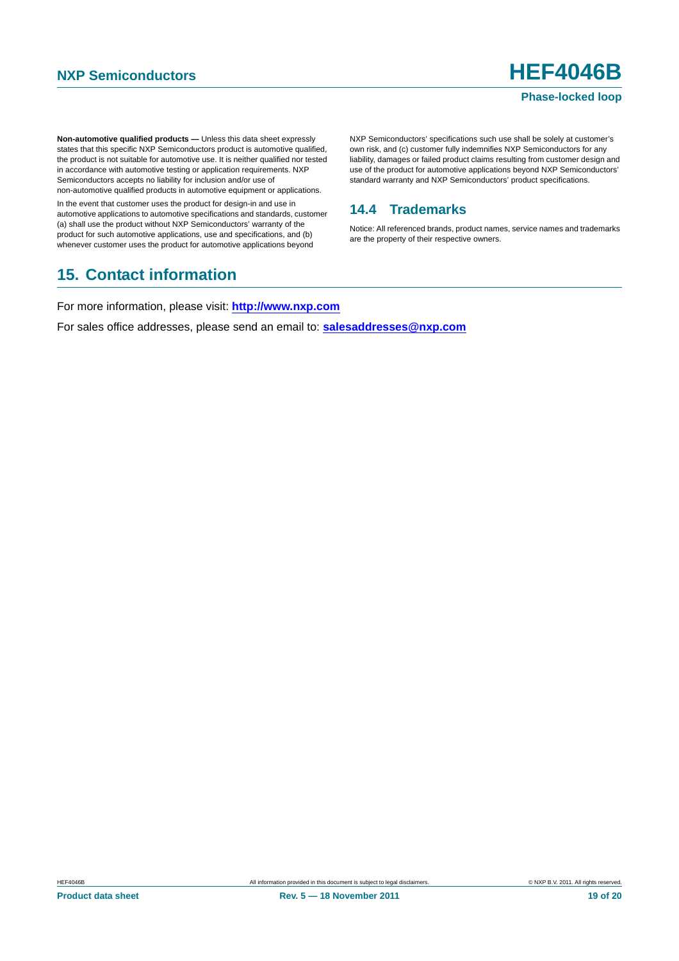### **Phase-locked loop**

**Non-automotive qualified products —** Unless this data sheet expressly states that this specific NXP Semiconductors product is automotive qualified, the product is not suitable for automotive use. It is neither qualified nor tested in accordance with automotive testing or application requirements. NXP Semiconductors accepts no liability for inclusion and/or use of non-automotive qualified products in automotive equipment or applications.

In the event that customer uses the product for design-in and use in automotive applications to automotive specifications and standards, customer (a) shall use the product without NXP Semiconductors' warranty of the product for such automotive applications, use and specifications, and (b) whenever customer uses the product for automotive applications beyond

# <span id="page-18-1"></span>**15. Contact information**

NXP Semiconductors' specifications such use shall be solely at customer's own risk, and (c) customer fully indemnifies NXP Semiconductors for any liability, damages or failed product claims resulting from customer design and use of the product for automotive applications beyond NXP Semiconductors' standard warranty and NXP Semiconductors' product specifications.

### <span id="page-18-0"></span>**14.4 Trademarks**

Notice: All referenced brands, product names, service names and trademarks are the property of their respective owners.

For more information, please visit: **http://www.nxp.com**

For sales office addresses, please send an email to: **salesaddresses@nxp.com**